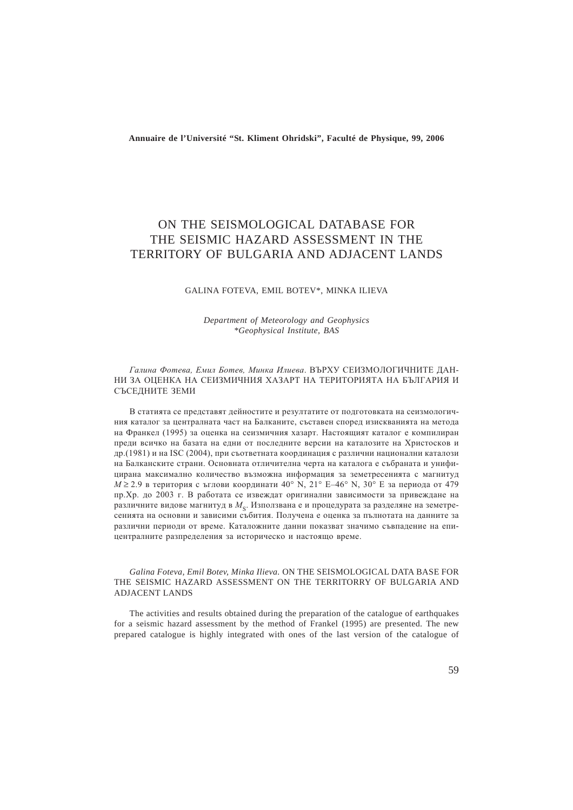**Annuaire de l'Université "St. Kliment Ohridski", Faculté de Physique, 99, 2006**

# ON THE SEISMOLOGICAL DATABASE FOR THE SEISMIC HAZARD ASSESSMENT IN THE TERRITORY OF BULGARIA AND ADJACENT LANDS

### GALINA FOTEVA, EMIL BOTEV\*, MINKA ILIEVA

### *Department of Meteorology and Geophysics \*Geophysical Institute, BAS*

#### Галина Фотева, Емил Ботев, Минка Илиева. ВЪРХУ СЕИЗМОЛОГИЧНИТЕ ДАН-НИ ЗА ОЦЕНКА НА СЕИЗМИЧНИЯ ХАЗАРТ НА ТЕРИТОРИЯТА НА БЪЛГАРИЯ И СЪСЕДНИТЕ ЗЕМИ

В статията се представят дейностите и резултатите от подготовката на сеизмологичния каталог за централната част на Балканите, съставен според изискванията на метода на Франкел (1995) за опенка на сеизмичния хазарт. Настояшият каталог е компилиран преди всичко на базата на едни от последните версии на каталозите на Христосков и др.(1981) и на ISC (2004), при съответната координация с различни национални каталози на Балканските страни. Основната отличителна черта на каталога е събраната и унифицирана максимално количество възможна информация за земетресенията с магнитуд  $M \ge 2.9$  в територия с ъглови координати 40° N, 21° E–46° N, 30° E за периода от 479 пр. Хр. до 2003 г. В работата се извеждат оригинални зависимости за привеждане на различните видове магнитуд в  $M_c$ . Използвана е и процедурата за разделяне на земетресенията на основни и зависими събития. Получена е оценка за пълнотата на данните за различни периоди от време. Каталожните данни показват значимо съвпадение на епицентралните разпределения за историческо и настоящо време.

*Galina Foteva, Emil Botev, Minka Ilieva.* ON THE SEISMOLOGICAL DATA BASE FOR THE SEISMIC HAZARD ASSESSMENT ON THE TERRITORRY OF BULGARIA AND ADJACENT LANDS

The activities and results obtained during the preparation of the catalogue of earthquakes for a seismic hazard assessment by the method of Frankel (1995) are presented. The new prepared catalogue is highly integrated with ones of the last version of the catalogue of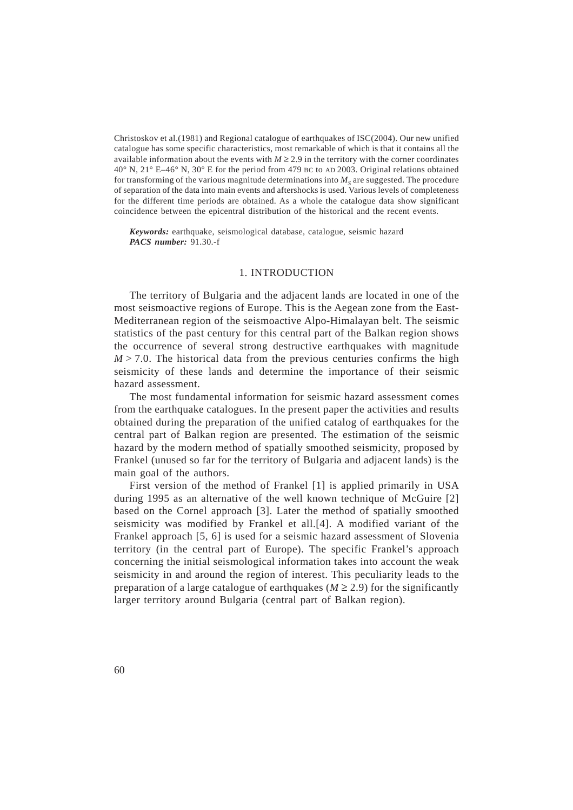Christoskov et al.(1981) and Regional catalogue of earthquakes of ISC(2004). Our new unified catalogue has some specific characteristics, most remarkable of which is that it contains all the available information about the events with  $M \ge 2.9$  in the territory with the corner coordinates 40° N, 21° E–46° N, 30° E for the period from 479 BC to AD 2003. Original relations obtained for transforming of the various magnitude determinations into  $M<sub>s</sub>$  are suggested. The procedure of separation of the data into main events and aftershocks is used. Various levels of completeness for the different time periods are obtained. As a whole the catalogue data show significant coincidence between the epicentral distribution of the historical and the recent events.

*Keywords:* earthquake, seismological database, catalogue, seismic hazard *PACS number:* 91.30.-f

### 1. INTRODUCTION

The territory of Bulgaria and the adjacent lands are located in one of the most seismoactive regions of Europe. This is the Aegean zone from the East-Mediterranean region of the seismoactive Alpo-Himalayan belt. The seismic statistics of the past century for this central part of the Balkan region shows the occurrence of several strong destructive earthquakes with magnitude  $M > 7.0$ . The historical data from the previous centuries confirms the high seismicity of these lands and determine the importance of their seismic hazard assessment.

The most fundamental information for seismic hazard assessment comes from the earthquake catalogues. In the present paper the activities and results obtained during the preparation of the unified catalog of earthquakes for the central part of Balkan region are presented. The estimation of the seismic hazard by the modern method of spatially smoothed seismicity, proposed by Frankel (unused so far for the territory of Bulgaria and adjacent lands) is the main goal of the authors.

First version of the method of Frankel [1] is applied primarily in USA during 1995 as an alternative of the well known technique of McGuire [2] based on the Cornel approach [3]. Later the method of spatially smoothed seismicity was modified by Frankel et all.[4]. A modified variant of the Frankel approach [5, 6] is used for a seismic hazard assessment of Slovenia territory (in the central part of Europe). The specific Frankel's approach concerning the initial seismological information takes into account the weak seismicity in and around the region of interest. This peculiarity leads to the preparation of a large catalogue of earthquakes ( $M \ge 2.9$ ) for the significantly larger territory around Bulgaria (central part of Balkan region).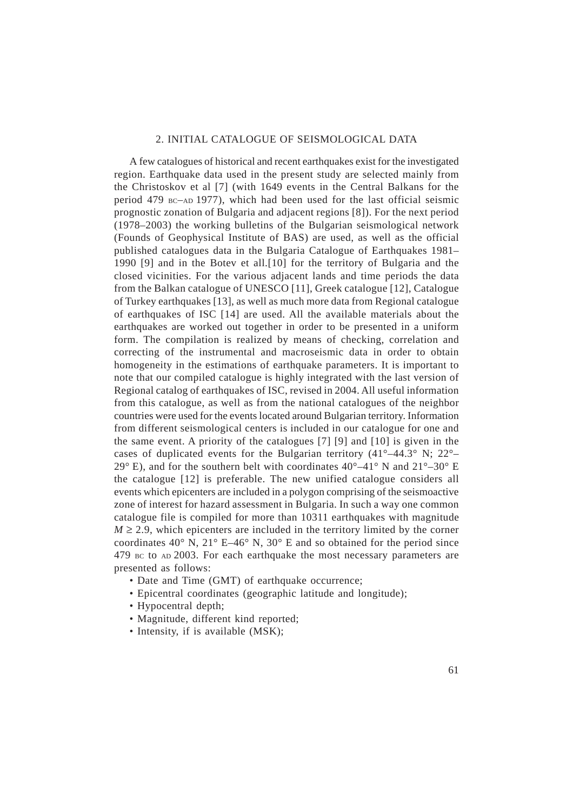### 2. INITIAL CATALOGUE OF SEISMOLOGICAL DATA

A few catalogues of historical and recent earthquakes exist for the investigated region. Earthquake data used in the present study are selected mainly from the Christoskov et al [7] (with 1649 events in the Central Balkans for the period 479 BC–AD 1977), which had been used for the last official seismic prognostic zonation of Bulgaria and adjacent regions [8]). For the next period (1978–2003) the working bulletins of the Bulgarian seismological network (Founds of Geophysical Institute of BAS) are used, as well as the official published catalogues data in the Bulgaria Catalogue of Earthquakes 1981– 1990 [9] and in the Botev et all.[10] for the territory of Bulgaria and the closed vicinities. For the various adjacent lands and time periods the data from the Balkan catalogue of UNESCO [11], Greek catalogue [12], Catalogue of Turkey earthquakes [13], as well as much more data from Regional catalogue of earthquakes of ISC [14] are used. All the available materials about the earthquakes are worked out together in order to be presented in a uniform form. The compilation is realized by means of checking, correlation and correcting of the instrumental and macroseismic data in order to obtain homogeneity in the estimations of earthquake parameters. It is important to note that our compiled catalogue is highly integrated with the last version of Regional catalog of earthquakes of ISC, revised in 2004. All useful information from this catalogue, as well as from the national catalogues of the neighbor countries were used for the events located around Bulgarian territory. Information from different seismological centers is included in our catalogue for one and the same event. A priority of the catalogues [7] [9] and [10] is given in the cases of duplicated events for the Bulgarian territory  $(41^{\circ}-44.3^{\circ})$  N;  $22^{\circ}-$ 29° E), and for the southern belt with coordinates  $40^{\circ} - 41^{\circ}$  N and  $21^{\circ} - 30^{\circ}$  E the catalogue [12] is preferable. The new unified catalogue considers all events which epicenters are included in a polygon comprising of the seismoactive zone of interest for hazard assessment in Bulgaria. In such a way one common catalogue file is compiled for more than 10311 earthquakes with magnitude  $M \ge 2.9$ , which epicenters are included in the territory limited by the corner coordinates  $40^{\circ}$  N,  $21^{\circ}$  E-46° N,  $30^{\circ}$  E and so obtained for the period since 479 BC to AD 2003. For each earthquake the most necessary parameters are presented as follows:

- Date and Time (GMT) of earthquake occurrence;
- Epicentral coordinates (geographic latitude and longitude);
- Hypocentral depth;
- Magnitude, different kind reported;
- Intensity, if is available (MSK);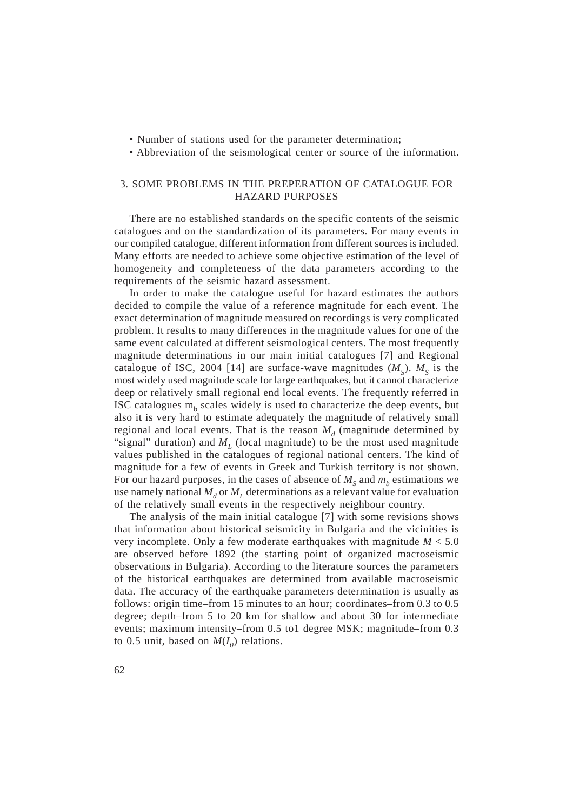- Number of stations used for the parameter determination;
- Abbreviation of the seismological center or source of the information.

### 3. SOME PROBLEMS IN THE PREPERATION OF CATALOGUE FOR HAZARD PURPOSES

There are no established standards on the specific contents of the seismic catalogues and on the standardization of its parameters. For many events in our compiled catalogue, different information from different sources is included. Many efforts are needed to achieve some objective estimation of the level of homogeneity and completeness of the data parameters according to the requirements of the seismic hazard assessment.

In order to make the catalogue useful for hazard estimates the authors decided to compile the value of a reference magnitude for each event. The exact determination of magnitude measured on recordings is very complicated problem. It results to many differences in the magnitude values for one of the same event calculated at different seismological centers. The most frequently magnitude determinations in our main initial catalogues [7] and Regional catalogue of ISC, 2004 [14] are surface-wave magnitudes  $(M<sub>S</sub>)$ .  $M<sub>S</sub>$  is the most widely used magnitude scale for large earthquakes, but it cannot characterize deep or relatively small regional end local events. The frequently referred in ISC catalogues  $m<sub>b</sub>$  scales widely is used to characterize the deep events, but also it is very hard to estimate adequately the magnitude of relatively small regional and local events. That is the reason  $M<sub>d</sub>$  (magnitude determined by "signal" duration) and  $M_L$  (local magnitude) to be the most used magnitude values published in the catalogues of regional national centers. The kind of magnitude for a few of events in Greek and Turkish territory is not shown. For our hazard purposes, in the cases of absence of  $M<sub>s</sub>$  and  $m<sub>b</sub>$  estimations we use namely national  $M_d$  or  $M_l$  determinations as a relevant value for evaluation of the relatively small events in the respectively neighbour country.

The analysis of the main initial catalogue [7] with some revisions shows that information about historical seismicity in Bulgaria and the vicinities is very incomplete. Only a few moderate earthquakes with magnitude *M* < 5.0 are observed before 1892 (the starting point of organized macroseismic observations in Bulgaria). According to the literature sources the parameters of the historical earthquakes are determined from available macroseismic data. The accuracy of the earthquake parameters determination is usually as follows: origin time–from 15 minutes to an hour; coordinates–from 0.3 to 0.5 degree; depth–from 5 to 20 km for shallow and about 30 for intermediate events; maximum intensity–from 0.5 to1 degree MSK; magnitude–from 0.3 to 0.5 unit, based on  $M(I_0)$  relations.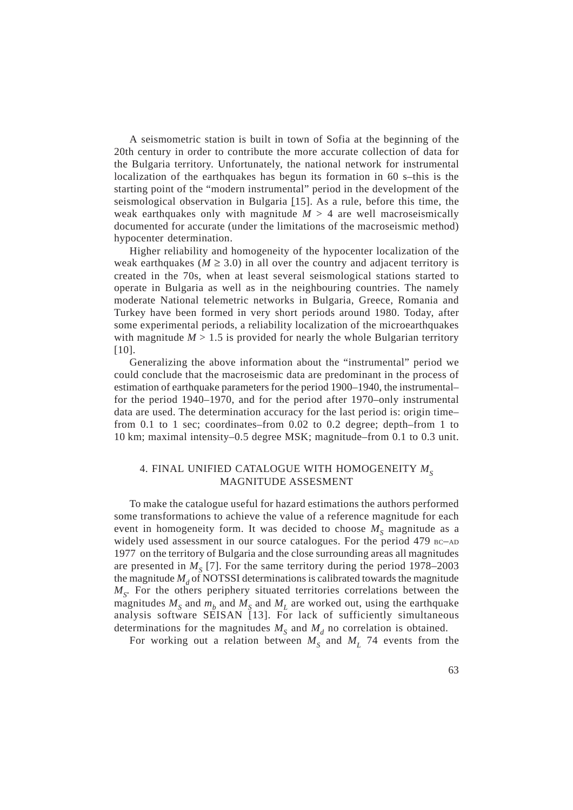A seismometric station is built in town of Sofia at the beginning of the 20th century in order to contribute the more accurate collection of data for the Bulgaria territory. Unfortunately, the national network for instrumental localization of the earthquakes has begun its formation in 60 s–this is the starting point of the "modern instrumental" period in the development of the seismological observation in Bulgaria [15]. As a rule, before this time, the weak earthquakes only with magnitude  $M > 4$  are well macroseismically documented for accurate (under the limitations of the macroseismic method) hypocenter determination.

Higher reliability and homogeneity of the hypocenter localization of the weak earthquakes ( $M \geq 3.0$ ) in all over the country and adjacent territory is created in the 70s, when at least several seismological stations started to operate in Bulgaria as well as in the neighbouring countries. The namely moderate National telemetric networks in Bulgaria, Greece, Romania and Turkey have been formed in very short periods around 1980. Today, after some experimental periods, a reliability localization of the microearthquakes with magnitude  $M > 1.5$  is provided for nearly the whole Bulgarian territory [10].

Generalizing the above information about the "instrumental" period we could conclude that the macroseismic data are predominant in the process of estimation of earthquake parameters for the period 1900–1940, the instrumental– for the period 1940–1970, and for the period after 1970–only instrumental data are used. The determination accuracy for the last period is: origin time– from 0.1 to 1 sec; coordinates–from 0.02 to 0.2 degree; depth–from 1 to 10 km; maximal intensity–0.5 degree MSK; magnitude–from 0.1 to 0.3 unit.

## 4. FINAL UNIFIED CATALOGUE WITH HOMOGENEITY  $M_s$ MAGNITUDE ASSESMENT

To make the catalogue useful for hazard estimations the authors performed some transformations to achieve the value of a reference magnitude for each event in homogeneity form. It was decided to choose  $M<sub>s</sub>$  magnitude as a widely used assessment in our source catalogues. For the period 479 BC-AD 1977 on the territory of Bulgaria and the close surrounding areas all magnitudes are presented in  $M<sub>S</sub>$  [7]. For the same territory during the period 1978–2003 the magnitude  $M_d$  of NOTSSI determinations is calibrated towards the magnitude  $M<sub>S</sub>$ . For the others periphery situated territories correlations between the magnitudes  $M_S$  and  $m_b$  and  $M_S$  and  $M_L$  are worked out, using the earthquake analysis software SEISAN [13]. For lack of sufficiently simultaneous determinations for the magnitudes  $M<sub>s</sub>$  and  $M<sub>d</sub>$  no correlation is obtained.

For working out a relation between  $M_s$  and  $M_L$  74 events from the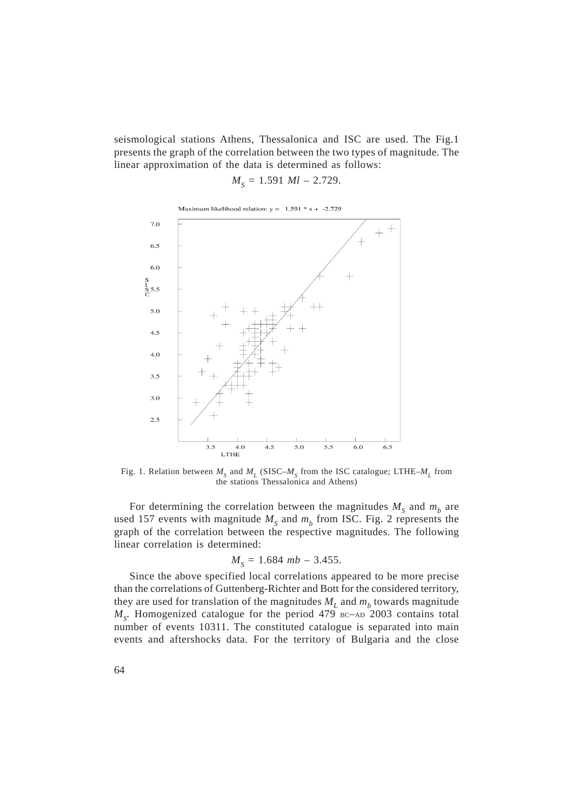seismological stations Athens, Thessalonica and ISC are used. The Fig.1 presents the graph of the correlation between the two types of magnitude. The linear approximation of the data is determined as follows:

$$
M_{S} = 1.591 \; Ml - 2.729.
$$



Fig. 1. Relation between  $M<sub>s</sub>$  and  $M<sub>L</sub>$  (SISC– $M<sub>s</sub>$  from the ISC catalogue; LTHE– $M<sub>L</sub>$  from the stations Thessalonica and Athens)

For determining the correlation between the magnitudes  $M<sub>S</sub>$  and  $m<sub>b</sub>$  are used 157 events with magnitude  $M<sub>S</sub>$  and  $m<sub>b</sub>$  from ISC. Fig. 2 represents the graph of the correlation between the respective magnitudes. The following linear correlation is determined:

$$
M_{S} = 1.684 \ mb - 3.455.
$$

Since the above specified local correlations appeared to be more precise than the correlations of Guttenberg-Richter and Bott for the considered territory, they are used for translation of the magnitudes  $M_L$  and  $m_b$  towards magnitude  $M<sub>S</sub>$ . Homogenized catalogue for the period 479 BC–AD 2003 contains total number of events 10311. The constituted catalogue is separated into main events and aftershocks data. For the territory of Bulgaria and the close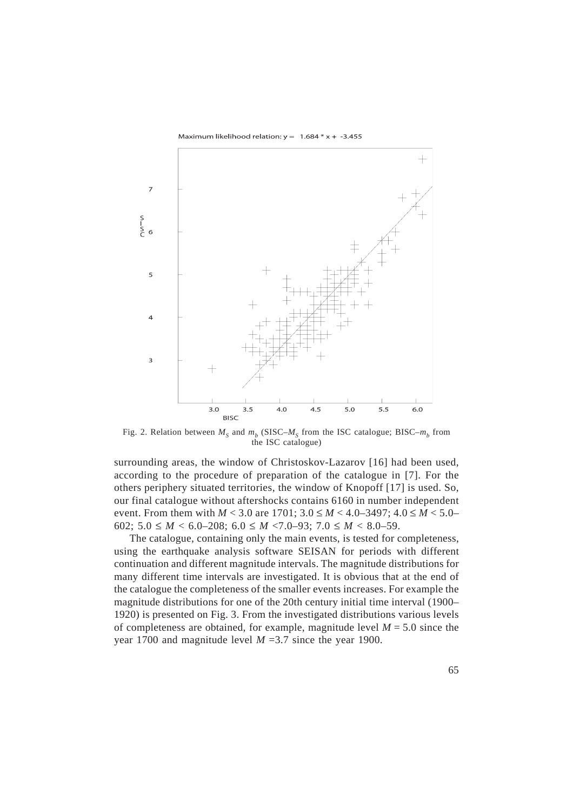Maximum likelihood relation:  $y = 1.684 \times x + -3.455$ 



Fig. 2. Relation between  $M_s$  and  $m_b$  (SISC– $M_s$  from the ISC catalogue; BISC– $m_b$  from the ISC catalogue)

surrounding areas, the window of Christoskov-Lazarov [16] had been used, according to the procedure of preparation of the catalogue in [7]. For the others periphery situated territories, the window of Knopoff [17] is used. So, our final catalogue without aftershocks contains 6160 in number independent event. From them with  $M < 3.0$  are 1701;  $3.0 \le M < 4.0 - 3497$ ;  $4.0 \le M < 5.0 - 3.0$ 602;  $5.0 \leq M < 6.0$ -208;  $6.0 \leq M < 7.0$ -93;  $7.0 \leq M < 8.0$ -59.

The catalogue, containing only the main events, is tested for completeness, using the earthquake analysis software SEISAN for periods with different continuation and different magnitude intervals. The magnitude distributions for many different time intervals are investigated. It is obvious that at the end of the catalogue the completeness of the smaller events increases. For example the magnitude distributions for one of the 20th century initial time interval (1900– 1920) is presented on Fig. 3. From the investigated distributions various levels of completeness are obtained, for example, magnitude level  $M = 5.0$  since the year 1700 and magnitude level *M* =3.7 since the year 1900.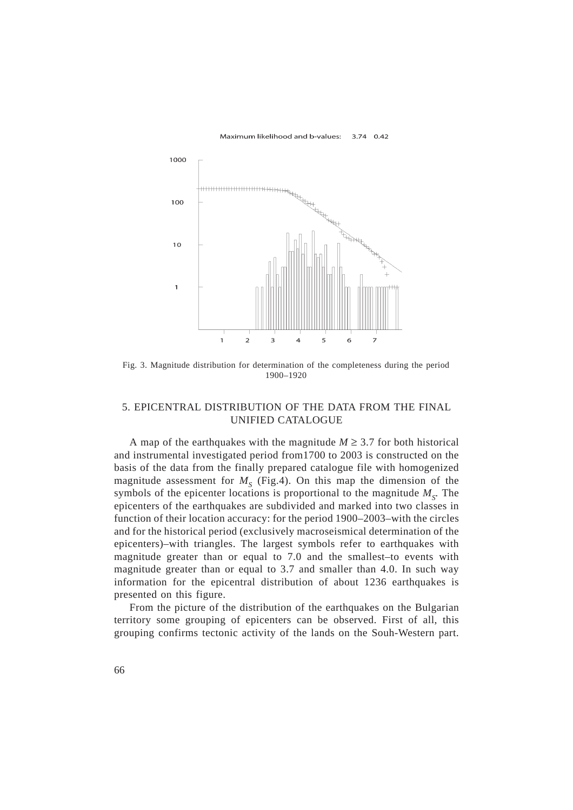

Fig. 3. Magnitude distribution for determination of the completeness during the period 1900–1920

### 5. EPICENTRAL DISTRIBUTION OF THE DATA FROM THE FINAL UNIFIED CATALOGUE

A map of the earthquakes with the magnitude  $M \geq 3.7$  for both historical and instrumental investigated period from1700 to 2003 is constructed on the basis of the data from the finally prepared catalogue file with homogenized magnitude assessment for  $M<sub>S</sub>$  (Fig.4). On this map the dimension of the symbols of the epicenter locations is proportional to the magnitude  $M_{\rm c}$ . The epicenters of the earthquakes are subdivided and marked into two classes in function of their location accuracy: for the period 1900–2003–with the circles and for the historical period (exclusively macroseismical determination of the epicenters)–with triangles. The largest symbols refer to earthquakes with magnitude greater than or equal to 7.0 and the smallest–to events with magnitude greater than or equal to 3.7 and smaller than 4.0. In such way information for the epicentral distribution of about 1236 earthquakes is presented on this figure.

From the picture of the distribution of the earthquakes on the Bulgarian territory some grouping of epicenters can be observed. First of all, this grouping confirms tectonic activity of the lands on the Souh-Western part.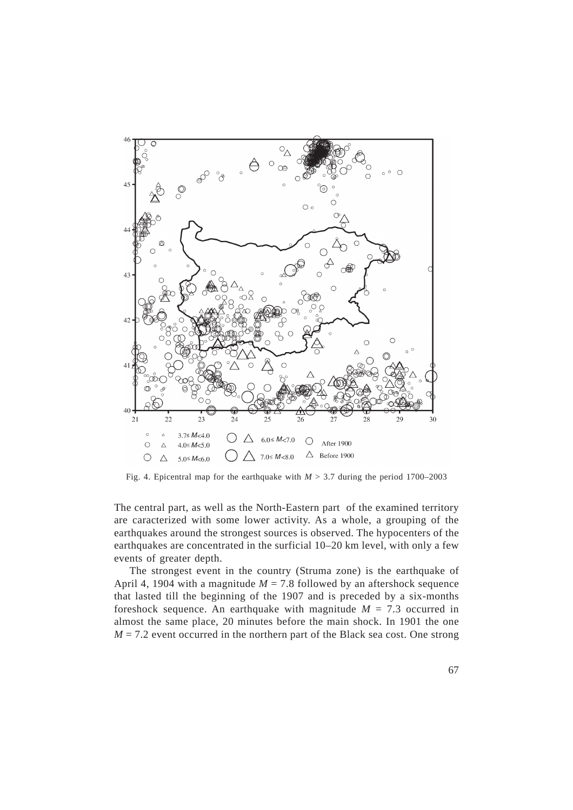

Fig. 4. Epicentral map for the earthquake with  $M > 3.7$  during the period 1700–2003

The central part, as well as the North-Eastern part of the examined territory are caracterized with some lower activity. As a whole, a grouping of the earthquakes around the strongest sources is observed. The hypocenters of the earthquakes are concentrated in the surficial 10–20 km level, with only a few events of greater depth.

The strongest event in the country (Struma zone) is the earthquake of April 4, 1904 with a magnitude  $M = 7.8$  followed by an aftershock sequence that lasted till the beginning of the 1907 and is preceded by a six-months foreshock sequence. An earthquake with magnitude  $M = 7.3$  occurred in almost the same place, 20 minutes before the main shock. In 1901 the one  $M = 7.2$  event occurred in the northern part of the Black sea cost. One strong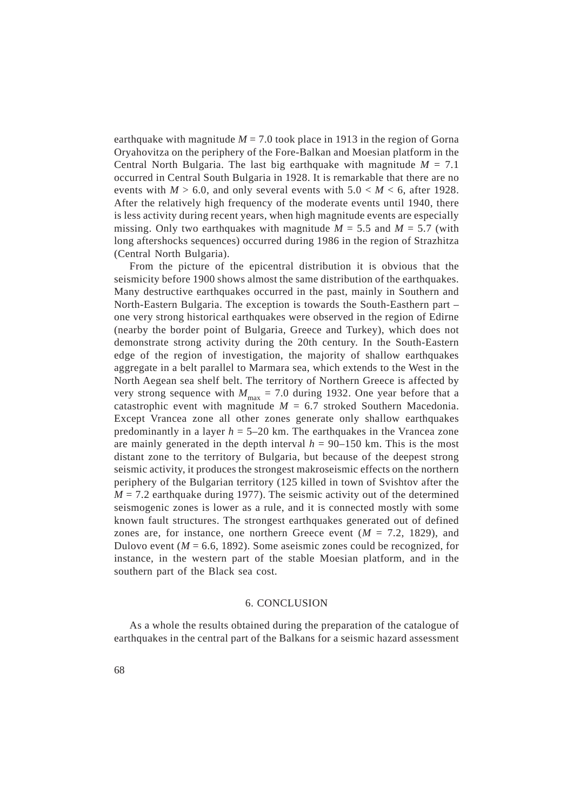earthquake with magnitude  $M = 7.0$  took place in 1913 in the region of Gorna Oryahovitza on the periphery of the Fore-Balkan and Moesian platform in the Central North Bulgaria. The last big earthquake with magnitude  $M = 7.1$ occurred in Central South Bulgaria in 1928. It is remarkable that there are no events with  $M > 6.0$ , and only several events with  $5.0 < M < 6$ , after 1928. After the relatively high frequency of the moderate events until 1940, there is less activity during recent years, when high magnitude events are especially missing. Only two earthquakes with magnitude  $M = 5.5$  and  $M = 5.7$  (with long aftershocks sequences) occurred during 1986 in the region of Strazhitza (Central North Bulgaria).

From the picture of the epicentral distribution it is obvious that the seismicity before 1900 shows almost the same distribution of the earthquakes. Many destructive earthquakes occurred in the past, mainly in Southern and North-Eastern Bulgaria. The exception is towards the South-Easthern part – one very strong historical earthquakes were observed in the region of Edirne (nearby the border point of Bulgaria, Greece and Turkey), which does not demonstrate strong activity during the 20th century. In the South-Eastern edge of the region of investigation, the majority of shallow earthquakes aggregate in a belt parallel to Marmara sea, which extends to the West in the North Aegean sea shelf belt. The territory of Northern Greece is affected by very strong sequence with  $M_{\text{max}} = 7.0$  during 1932. One year before that a catastrophic event with magnitude  $M = 6.7$  stroked Southern Macedonia. Except Vrancea zone all other zones generate only shallow earthquakes predominantly in a layer *h* = 5–20 km. The earthquakes in the Vrancea zone are mainly generated in the depth interval  $h = 90-150$  km. This is the most distant zone to the territory of Bulgaria, but because of the deepest strong seismic activity, it produces the strongest makroseismic effects on the northern periphery of the Bulgarian territory (125 killed in town of Svishtov after the  $M = 7.2$  earthquake during 1977). The seismic activity out of the determined seismogenic zones is lower as a rule, and it is connected mostly with some known fault structures. The strongest earthquakes generated out of defined zones are, for instance, one northern Greece event  $(M = 7.2, 1829)$ , and Dulovo event  $(M = 6.6, 1892)$ . Some aseismic zones could be recognized, for instance, in the western part of the stable Moesian platform, and in the southern part of the Black sea cost.

### 6. CONCLUSION

As a whole the results obtained during the preparation of the catalogue of earthquakes in the central part of the Balkans for a seismic hazard assessment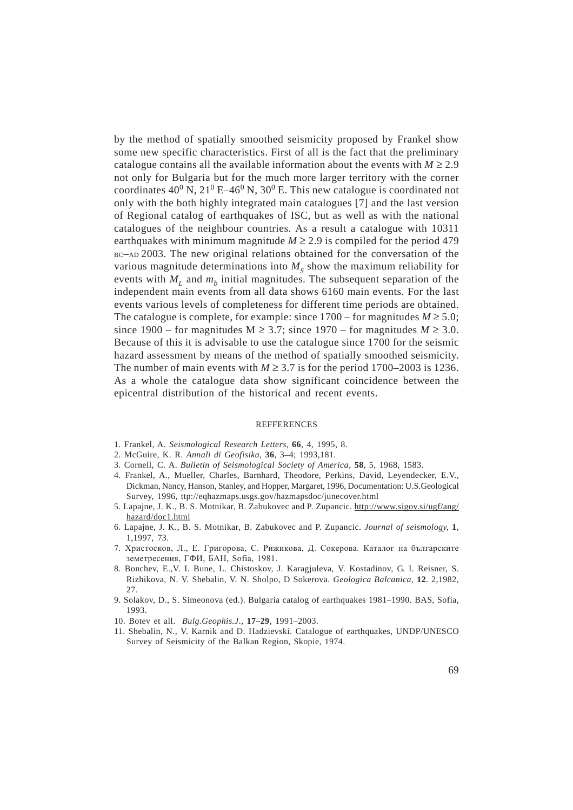by the method of spatially smoothed seismicity proposed by Frankel show some new specific characteristics. First of all is the fact that the preliminary catalogue contains all the available information about the events with  $M \ge 2.9$ not only for Bulgaria but for the much more larger territory with the corner coordinates  $40^{\circ}$  N,  $21^{\circ}$  E-46<sup>0</sup> N,  $30^{\circ}$  E. This new catalogue is coordinated not only with the both highly integrated main catalogues [7] and the last version of Regional catalog of earthquakes of ISC, but as well as with the national catalogues of the neighbour countries. As a result a catalogue with 10311 earthquakes with minimum magnitude  $M \ge 2.9$  is compiled for the period 479 BC–AD 2003. The new original relations obtained for the conversation of the various magnitude determinations into  $M<sub>s</sub>$  show the maximum reliability for events with  $M_{\text{I}}$  and  $m_{\text{I}}$  initial magnitudes. The subsequent separation of the independent main events from all data shows 6160 main events. For the last events various levels of completeness for different time periods are obtained. The catalogue is complete, for example: since  $1700 -$  for magnitudes  $M \ge 5.0$ ; since  $1900$  – for magnitudes  $M \ge 3.7$ ; since  $1970$  – for magnitudes  $M \ge 3.0$ . Because of this it is advisable to use the catalogue since 1700 for the seismic hazard assessment by means of the method of spatially smoothed seismicity. The number of main events with  $M \ge 3.7$  is for the period 1700–2003 is 1236. As a whole the catalogue data show significant coincidence between the epicentral distribution of the historical and recent events.

#### **REFFERENCES**

- 1. Frankel, A. *Seismological Research Letters*, **66**, 4, 1995, 8.
- 2. McGuire, K. R. *Annali di Geofisika*, **36**, 3–4; 1993,181.
- 3. Cornell, C. A. *Bulletin of Seismological Society of America*, **58**, 5, 1968, 1583.
- 4. Frankel, A., Mueller, Charles, Barnhard, Theodore, Perkins, David, Leyendecker, E.V., Dickman, Nancy, Hanson, Stanley, and Hopper, Margaret, 1996, Documentation: U.S.Geological Survey, 1996, ttp://eqhazmaps.usgs.gov/hazmapsdoc/junecover.html
- 5. Lapajne, J. K., B. S. Motnikar, B. Zabukovec and P. Zupancic. http://www.sigov.si/ugf/ang/ hazard/doc1.html
- 6. Lapajne, J. K., B. S. Motnikar, B. Zabukovec and P. Zupancic. *Journal of seismology,* **1**, 1,1997, 73.
- 7. Христосков, Л., Е. Григорова, С. Рижикова, Д. Сокерова. Каталог на българските земетресения, ГФИ, БАН, Sofia, 1981.
- 8. Bonchev, E.,V. I. Bune, L. Chistoskov, J. Karagjuleva, V. Kostadinov, G. I. Reisner, S. Rizhikova, N. V. Shebalin, V. N. Sholpo, D Sokerova. *Geologica Balcanica*, **12**. 2,1982, 27.
- 9. Solakov, D., S. Simeonova (ed.). Bulgaria catalog of earthquakes 1981–1990. BAS, Sofia, 1993.
- 10. Botev et all. *Bulg.Geophis.J*., **17–29**, 1991–2003.
- 11. Shebalin, N., V. Karnik and D. Hadzievski. Catalogue of earthquakes, UNDP/UNESCO Survey of Seismicity of the Balkan Region, Skopie, 1974.